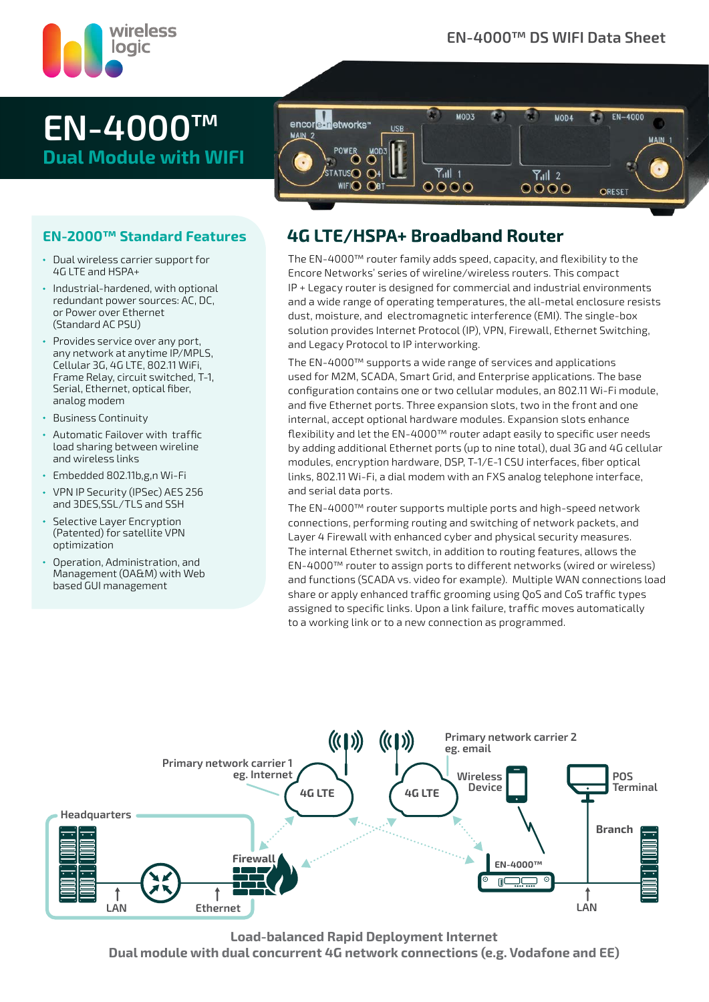

## **EN-4000™ Dual Module with WIFI**



- Dual wireless carrier support for 4G LTE and HSPA+
- Industrial-hardened, with optional redundant power sources: AC, DC, or Power over Ethernet (Standard AC PSU)
- Provides service over any port, any network at anytime IP/MPLS, Cellular 3G, 4G LTE, 802.11 WiFi, Frame Relay, circuit switched, T-1, Serial, Ethernet, optical fiber, analog modem
- Business Continuity
- Automatic Failover with traffic load sharing between wireline and wireless links
- Embedded 802.11b,g,n Wi-Fi
- VPN IP Security (IPSec) AES 256 and 3DES,SSL/TLS and SSH
- Selective Layer Encryption (Patented) for satellite VPN optimization
- Operation, Administration, and  $\bullet$ Management (OA&M) with Web based GUI management

## **EN-2000™ Standard Features 4G LTE/HSPA+ Broadband Router**

The EN-4000™ router family adds speed, capacity, and flexibility to the Encore Networks' series of wireline/wireless routers. This compact IP + Legacy router is designed for commercial and industrial environments and a wide range of operating temperatures, the all-metal enclosure resists dust, moisture, and electromagnetic interference (EMI). The single-box solution provides Internet Protocol (IP), VPN, Firewall, Ethernet Switching, and Legacy Protocol to IP interworking.

The EN-4000™ supports a wide range of services and applications used for M2M, SCADA, Smart Grid, and Enterprise applications. The base configuration contains one or two cellular modules, an 802.11 Wi-Fi module, and five Ethernet ports. Three expansion slots, two in the front and one internal, accept optional hardware modules. Expansion slots enhance flexibility and let the EN-4000™ router adapt easily to specific user needs by adding additional Ethernet ports (up to nine total), dual 3G and 4G cellular modules, encryption hardware, DSP, T-1/E-1 CSU interfaces, fiber optical links, 802.11 Wi-Fi, a dial modem with an FXS analog telephone interface, and serial data ports.

The EN-4000™ router supports multiple ports and high-speed network connections, performing routing and switching of network packets, and Layer 4 Firewall with enhanced cyber and physical security measures. The internal Ethernet switch, in addition to routing features, allows the EN-4000™ router to assign ports to different networks (wired or wireless) and functions (SCADA vs. video for example). Multiple WAN connections load share or apply enhanced traffic grooming using QoS and CoS traffic types assigned to specific links. Upon a link failure, traffic moves automatically to a working link or to a new connection as programmed.



**Load-balanced Rapid Deployment Internet**

**Dual module with dual concurrent 4G network connections (e.g. Vodafone and EE)**